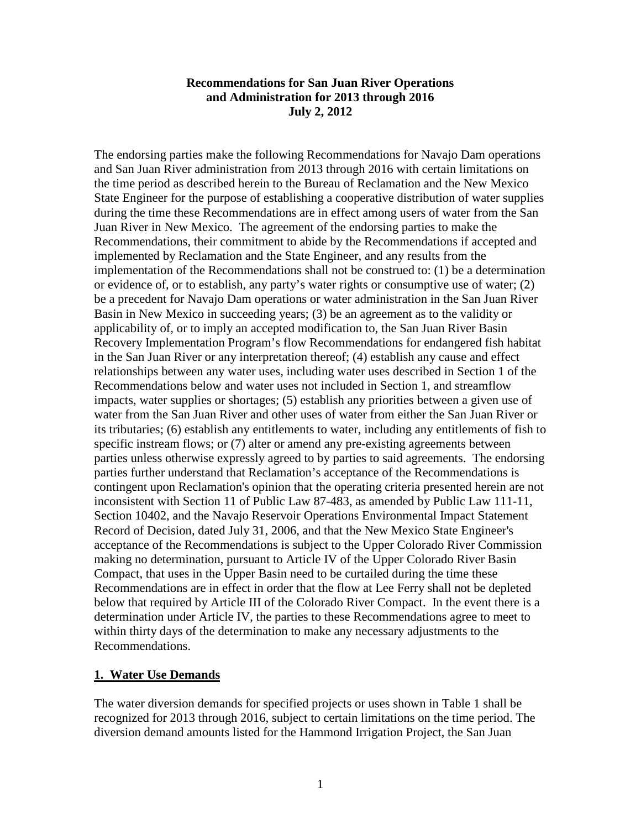#### **Recommendations for San Juan River Operations and Administration for 2013 through 2016 July 2, 2012**

The endorsing parties make the following Recommendations for Navajo Dam operations and San Juan River administration from 2013 through 2016 with certain limitations on the time period as described herein to the Bureau of Reclamation and the New Mexico State Engineer for the purpose of establishing a cooperative distribution of water supplies during the time these Recommendations are in effect among users of water from the San Juan River in New Mexico. The agreement of the endorsing parties to make the Recommendations, their commitment to abide by the Recommendations if accepted and implemented by Reclamation and the State Engineer, and any results from the implementation of the Recommendations shall not be construed to: (1) be a determination or evidence of, or to establish, any party's water rights or consumptive use of water; (2) be a precedent for Navajo Dam operations or water administration in the San Juan River Basin in New Mexico in succeeding years; (3) be an agreement as to the validity or applicability of, or to imply an accepted modification to, the San Juan River Basin Recovery Implementation Program's flow Recommendations for endangered fish habitat in the San Juan River or any interpretation thereof; (4) establish any cause and effect relationships between any water uses, including water uses described in Section 1 of the Recommendations below and water uses not included in Section 1, and streamflow impacts, water supplies or shortages; (5) establish any priorities between a given use of water from the San Juan River and other uses of water from either the San Juan River or its tributaries; (6) establish any entitlements to water, including any entitlements of fish to specific instream flows; or (7) alter or amend any pre-existing agreements between parties unless otherwise expressly agreed to by parties to said agreements. The endorsing parties further understand that Reclamation's acceptance of the Recommendations is contingent upon Reclamation's opinion that the operating criteria presented herein are not inconsistent with Section 11 of Public Law 87-483, as amended by Public Law 111-11, Section 10402, and the Navajo Reservoir Operations Environmental Impact Statement Record of Decision, dated July 31, 2006, and that the New Mexico State Engineer's acceptance of the Recommendations is subject to the Upper Colorado River Commission making no determination, pursuant to Article IV of the Upper Colorado River Basin Compact, that uses in the Upper Basin need to be curtailed during the time these Recommendations are in effect in order that the flow at Lee Ferry shall not be depleted below that required by Article III of the Colorado River Compact. In the event there is a determination under Article IV, the parties to these Recommendations agree to meet to within thirty days of the determination to make any necessary adjustments to the Recommendations.

#### **1. Water Use Demands**

The water diversion demands for specified projects or uses shown in Table 1 shall be recognized for 2013 through 2016, subject to certain limitations on the time period. The diversion demand amounts listed for the Hammond Irrigation Project, the San Juan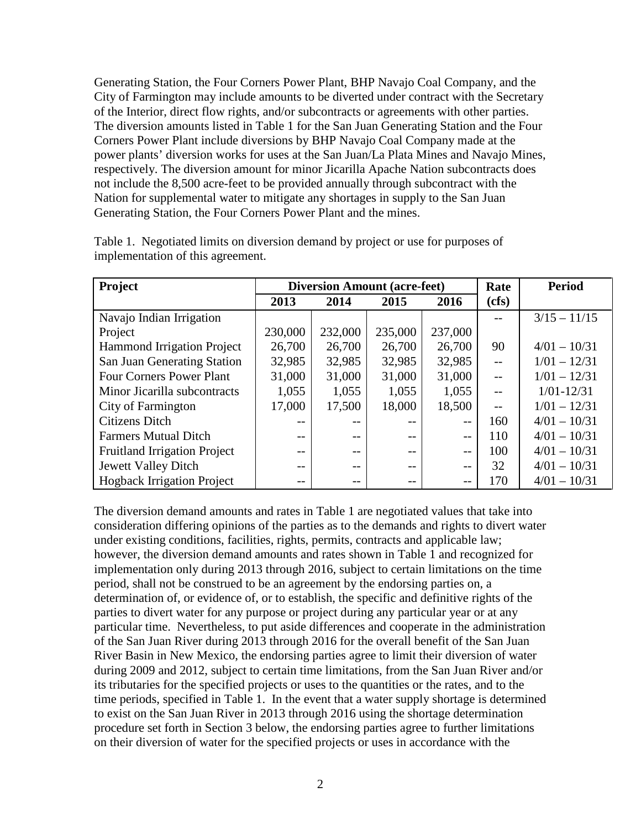Generating Station, the Four Corners Power Plant, BHP Navajo Coal Company, and the City of Farmington may include amounts to be diverted under contract with the Secretary of the Interior, direct flow rights, and/or subcontracts or agreements with other parties. The diversion amounts listed in Table 1 for the San Juan Generating Station and the Four Corners Power Plant include diversions by BHP Navajo Coal Company made at the power plants' diversion works for uses at the San Juan/La Plata Mines and Navajo Mines, respectively. The diversion amount for minor Jicarilla Apache Nation subcontracts does not include the 8,500 acre-feet to be provided annually through subcontract with the Nation for supplemental water to mitigate any shortages in supply to the San Juan Generating Station, the Four Corners Power Plant and the mines.

| <b>Project</b>                      | <b>Diversion Amount (acre-feet)</b> |         |         |                          | Rate  | <b>Period</b>  |
|-------------------------------------|-------------------------------------|---------|---------|--------------------------|-------|----------------|
|                                     | 2013                                | 2014    | 2015    | 2016                     | (cfs) |                |
| Navajo Indian Irrigation            |                                     |         |         |                          | --    | $3/15 - 11/15$ |
| Project                             | 230,000                             | 232,000 | 235,000 | 237,000                  |       |                |
| <b>Hammond Irrigation Project</b>   | 26,700                              | 26,700  | 26,700  | 26,700                   | 90    | $4/01 - 10/31$ |
| San Juan Generating Station         | 32,985                              | 32,985  | 32,985  | 32,985                   | $-$   | $1/01 - 12/31$ |
| <b>Four Corners Power Plant</b>     | 31,000                              | 31,000  | 31,000  | 31,000                   | $-$   | $1/01 - 12/31$ |
| Minor Jicarilla subcontracts        | 1,055                               | 1,055   | 1,055   | 1,055                    | $-$   | $1/01 - 12/31$ |
| City of Farmington                  | 17,000                              | 17,500  | 18,000  | 18,500                   | $-$   | $1/01 - 12/31$ |
| <b>Citizens Ditch</b>               | $- -$                               | $- -$   | $- -$   | $- -$                    | 160   | $4/01 - 10/31$ |
| <b>Farmers Mutual Ditch</b>         |                                     |         |         | $\overline{\phantom{m}}$ | 110   | $4/01 - 10/31$ |
| <b>Fruitland Irrigation Project</b> | --                                  | $- -$   | $- -$   | $- -$                    | 100   | $4/01 - 10/31$ |
| Jewett Valley Ditch                 |                                     | $- -$   | --      | $- -$                    | 32    | $4/01 - 10/31$ |
| <b>Hogback Irrigation Project</b>   | $- -$                               | $- -$   | $- -$   | $- -$                    | 170   | $4/01 - 10/31$ |

Table 1. Negotiated limits on diversion demand by project or use for purposes of implementation of this agreement.

The diversion demand amounts and rates in Table 1 are negotiated values that take into consideration differing opinions of the parties as to the demands and rights to divert water under existing conditions, facilities, rights, permits, contracts and applicable law; however, the diversion demand amounts and rates shown in Table 1 and recognized for implementation only during 2013 through 2016, subject to certain limitations on the time period, shall not be construed to be an agreement by the endorsing parties on, a determination of, or evidence of, or to establish, the specific and definitive rights of the parties to divert water for any purpose or project during any particular year or at any particular time. Nevertheless, to put aside differences and cooperate in the administration of the San Juan River during 2013 through 2016 for the overall benefit of the San Juan River Basin in New Mexico, the endorsing parties agree to limit their diversion of water during 2009 and 2012, subject to certain time limitations, from the San Juan River and/or its tributaries for the specified projects or uses to the quantities or the rates, and to the time periods, specified in Table 1. In the event that a water supply shortage is determined to exist on the San Juan River in 2013 through 2016 using the shortage determination procedure set forth in Section 3 below, the endorsing parties agree to further limitations on their diversion of water for the specified projects or uses in accordance with the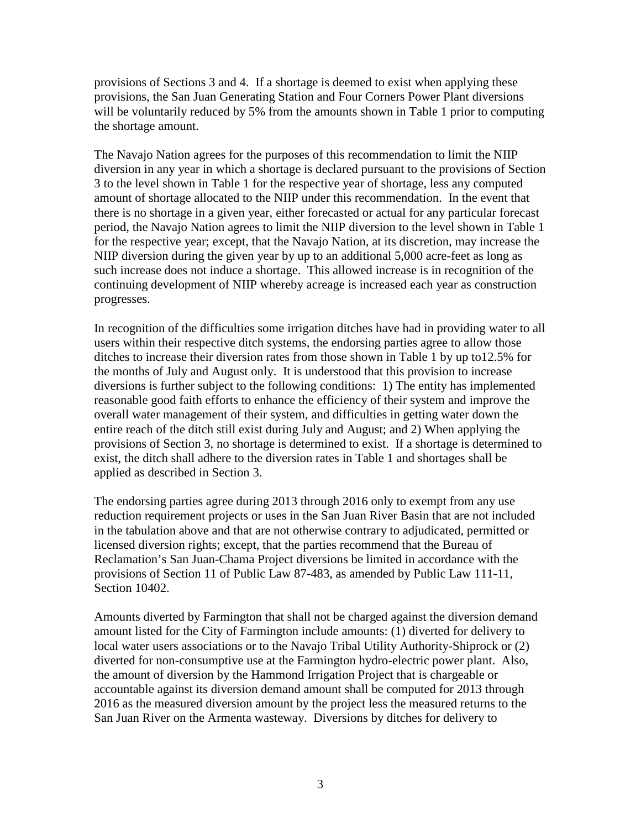provisions of Sections 3 and 4. If a shortage is deemed to exist when applying these provisions, the San Juan Generating Station and Four Corners Power Plant diversions will be voluntarily reduced by 5% from the amounts shown in Table 1 prior to computing the shortage amount.

The Navajo Nation agrees for the purposes of this recommendation to limit the NIIP diversion in any year in which a shortage is declared pursuant to the provisions of Section 3 to the level shown in Table 1 for the respective year of shortage, less any computed amount of shortage allocated to the NIIP under this recommendation. In the event that there is no shortage in a given year, either forecasted or actual for any particular forecast period, the Navajo Nation agrees to limit the NIIP diversion to the level shown in Table 1 for the respective year; except, that the Navajo Nation, at its discretion, may increase the NIIP diversion during the given year by up to an additional 5,000 acre-feet as long as such increase does not induce a shortage. This allowed increase is in recognition of the continuing development of NIIP whereby acreage is increased each year as construction progresses.

In recognition of the difficulties some irrigation ditches have had in providing water to all users within their respective ditch systems, the endorsing parties agree to allow those ditches to increase their diversion rates from those shown in Table 1 by up to12.5% for the months of July and August only. It is understood that this provision to increase diversions is further subject to the following conditions: 1) The entity has implemented reasonable good faith efforts to enhance the efficiency of their system and improve the overall water management of their system, and difficulties in getting water down the entire reach of the ditch still exist during July and August; and 2) When applying the provisions of Section 3, no shortage is determined to exist. If a shortage is determined to exist, the ditch shall adhere to the diversion rates in Table 1 and shortages shall be applied as described in Section 3.

The endorsing parties agree during 2013 through 2016 only to exempt from any use reduction requirement projects or uses in the San Juan River Basin that are not included in the tabulation above and that are not otherwise contrary to adjudicated, permitted or licensed diversion rights; except, that the parties recommend that the Bureau of Reclamation's San Juan-Chama Project diversions be limited in accordance with the provisions of Section 11 of Public Law 87-483, as amended by Public Law 111-11, Section 10402.

Amounts diverted by Farmington that shall not be charged against the diversion demand amount listed for the City of Farmington include amounts: (1) diverted for delivery to local water users associations or to the Navajo Tribal Utility Authority-Shiprock or (2) diverted for non-consumptive use at the Farmington hydro-electric power plant. Also, the amount of diversion by the Hammond Irrigation Project that is chargeable or accountable against its diversion demand amount shall be computed for 2013 through 2016 as the measured diversion amount by the project less the measured returns to the San Juan River on the Armenta wasteway. Diversions by ditches for delivery to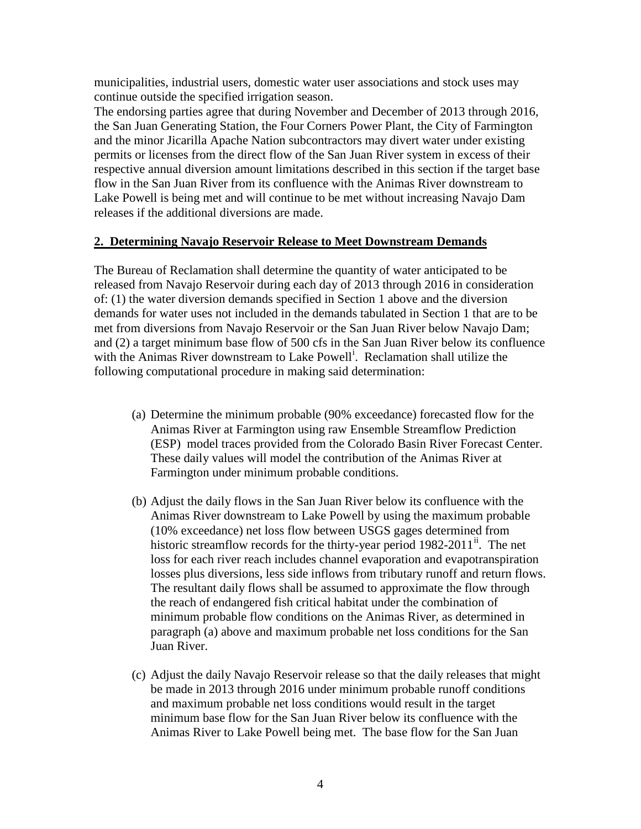municipalities, industrial users, domestic water user associations and stock uses may continue outside the specified irrigation season.

The endorsing parties agree that during November and December of 2013 through 2016, the San Juan Generating Station, the Four Corners Power Plant, the City of Farmington and the minor Jicarilla Apache Nation subcontractors may divert water under existing permits or licenses from the direct flow of the San Juan River system in excess of their respective annual diversion amount limitations described in this section if the target base flow in the San Juan River from its confluence with the Animas River downstream to Lake Powell is being met and will continue to be met without increasing Navajo Dam releases if the additional diversions are made.

#### **2. Determining Navajo Reservoir Release to Meet Downstream Demands**

The Bureau of Reclamation shall determine the quantity of water anticipated to be released from Navajo Reservoir during each day of 2013 through 2016 in consideration of: (1) the water diversion demands specified in Section 1 above and the diversion demands for water uses not included in the demands tabulated in Section 1 that are to be met from diversions from Navajo Reservoir or the San Juan River below Navajo Dam; and (2) a target minimum base flow of 500 cfs in the San Juan River below its confluence w[i](#page-11-0)th the Animas River downstream to Lake Powell<sup>i</sup>. Reclamation shall utilize the following computational procedure in making said determination:

- (a) Determine the minimum probable (90% exceedance) forecasted flow for the Animas River at Farmington using raw Ensemble Streamflow Prediction (ESP) model traces provided from the Colorado Basin River Forecast Center. These daily values will model the contribution of the Animas River at Farmington under minimum probable conditions.
- (b) Adjust the daily flows in the San Juan River below its confluence with the Animas River downstream to Lake Powell by using the maximum probable (10% exceedance) net loss flow between USGS gages determined from historic streamflow records for the thirty-year period 1982-2011<sup>[ii](#page-11-1)</sup>. The net loss for each river reach includes channel evaporation and evapotranspiration losses plus diversions, less side inflows from tributary runoff and return flows. The resultant daily flows shall be assumed to approximate the flow through the reach of endangered fish critical habitat under the combination of minimum probable flow conditions on the Animas River, as determined in paragraph (a) above and maximum probable net loss conditions for the San Juan River.
- (c) Adjust the daily Navajo Reservoir release so that the daily releases that might be made in 2013 through 2016 under minimum probable runoff conditions and maximum probable net loss conditions would result in the target minimum base flow for the San Juan River below its confluence with the Animas River to Lake Powell being met. The base flow for the San Juan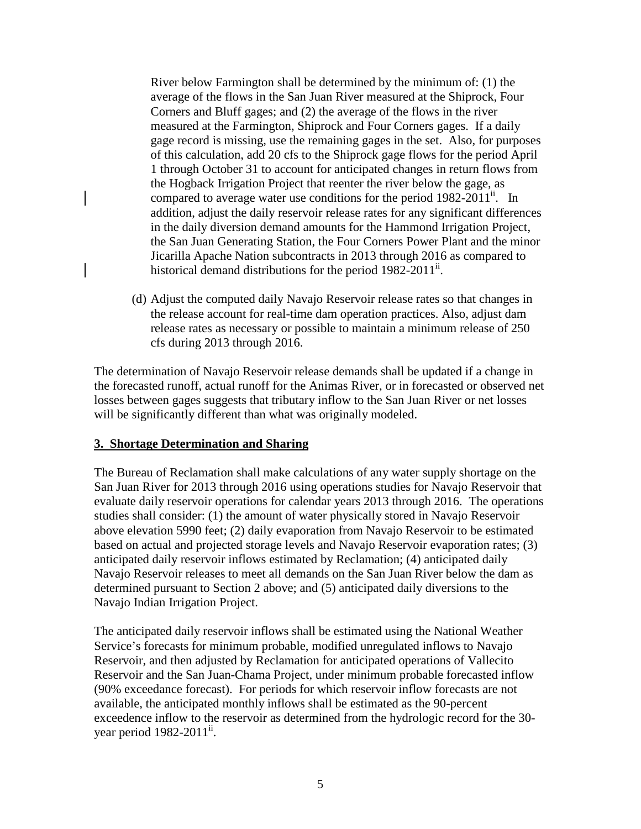River below Farmington shall be determined by the minimum of: (1) the average of the flows in the San Juan River measured at the Shiprock, Four Corners and Bluff gages; and (2) the average of the flows in the river measured at the Farmington, Shiprock and Four Corners gages. If a daily gage record is missing, use the remaining gages in the set. Also, for purposes of this calculation, add 20 cfs to the Shiprock gage flows for the period April 1 through October 31 to account for anticipated changes in return flows from the Hogback Irrigation Project that reenter the river below the gage, as compared to average water use conditions for the period  $1982-2011$ <sup>ii</sup>. In addition, adjust the daily reservoir release rates for any significant differences in the daily diversion demand amounts for the Hammond Irrigation Project, the San Juan Generating Station, the Four Corners Power Plant and the minor Jicarilla Apache Nation subcontracts in 2013 through 2016 as compared to historical demand distributions for the period  $1982-2011^{\text{ii}}$ .

(d) Adjust the computed daily Navajo Reservoir release rates so that changes in the release account for real-time dam operation practices. Also, adjust dam release rates as necessary or possible to maintain a minimum release of 250 cfs during 2013 through 2016.

The determination of Navajo Reservoir release demands shall be updated if a change in the forecasted runoff, actual runoff for the Animas River, or in forecasted or observed net losses between gages suggests that tributary inflow to the San Juan River or net losses will be significantly different than what was originally modeled.

## **3. Shortage Determination and Sharing**

The Bureau of Reclamation shall make calculations of any water supply shortage on the San Juan River for 2013 through 2016 using operations studies for Navajo Reservoir that evaluate daily reservoir operations for calendar years 2013 through 2016. The operations studies shall consider: (1) the amount of water physically stored in Navajo Reservoir above elevation 5990 feet; (2) daily evaporation from Navajo Reservoir to be estimated based on actual and projected storage levels and Navajo Reservoir evaporation rates; (3) anticipated daily reservoir inflows estimated by Reclamation; (4) anticipated daily Navajo Reservoir releases to meet all demands on the San Juan River below the dam as determined pursuant to Section 2 above; and (5) anticipated daily diversions to the Navajo Indian Irrigation Project.

The anticipated daily reservoir inflows shall be estimated using the National Weather Service's forecasts for minimum probable, modified unregulated inflows to Navajo Reservoir, and then adjusted by Reclamation for anticipated operations of Vallecito Reservoir and the San Juan-Chama Project, under minimum probable forecasted inflow (90% exceedance forecast). For periods for which reservoir inflow forecasts are not available, the anticipated monthly inflows shall be estimated as the 90-percent exceedence inflow to the reservoir as determined from the hydrologic record for the 30 year period 1982-2011<sup>ii</sup>.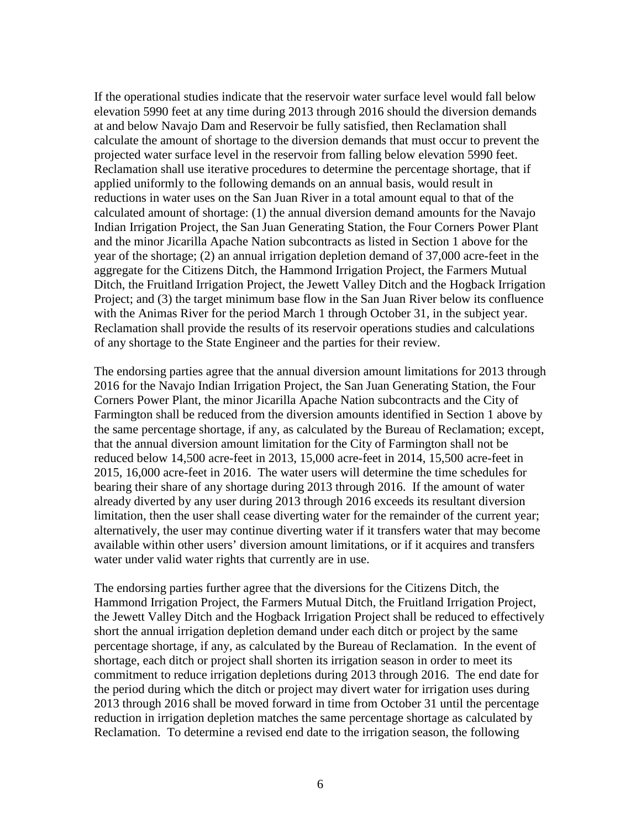If the operational studies indicate that the reservoir water surface level would fall below elevation 5990 feet at any time during 2013 through 2016 should the diversion demands at and below Navajo Dam and Reservoir be fully satisfied, then Reclamation shall calculate the amount of shortage to the diversion demands that must occur to prevent the projected water surface level in the reservoir from falling below elevation 5990 feet. Reclamation shall use iterative procedures to determine the percentage shortage, that if applied uniformly to the following demands on an annual basis, would result in reductions in water uses on the San Juan River in a total amount equal to that of the calculated amount of shortage: (1) the annual diversion demand amounts for the Navajo Indian Irrigation Project, the San Juan Generating Station, the Four Corners Power Plant and the minor Jicarilla Apache Nation subcontracts as listed in Section 1 above for the year of the shortage; (2) an annual irrigation depletion demand of 37,000 acre-feet in the aggregate for the Citizens Ditch, the Hammond Irrigation Project, the Farmers Mutual Ditch, the Fruitland Irrigation Project, the Jewett Valley Ditch and the Hogback Irrigation Project; and (3) the target minimum base flow in the San Juan River below its confluence with the Animas River for the period March 1 through October 31, in the subject year. Reclamation shall provide the results of its reservoir operations studies and calculations of any shortage to the State Engineer and the parties for their review.

The endorsing parties agree that the annual diversion amount limitations for 2013 through 2016 for the Navajo Indian Irrigation Project, the San Juan Generating Station, the Four Corners Power Plant, the minor Jicarilla Apache Nation subcontracts and the City of Farmington shall be reduced from the diversion amounts identified in Section 1 above by the same percentage shortage, if any, as calculated by the Bureau of Reclamation; except, that the annual diversion amount limitation for the City of Farmington shall not be reduced below 14,500 acre-feet in 2013, 15,000 acre-feet in 2014, 15,500 acre-feet in 2015, 16,000 acre-feet in 2016. The water users will determine the time schedules for bearing their share of any shortage during 2013 through 2016. If the amount of water already diverted by any user during 2013 through 2016 exceeds its resultant diversion limitation, then the user shall cease diverting water for the remainder of the current year; alternatively, the user may continue diverting water if it transfers water that may become available within other users' diversion amount limitations, or if it acquires and transfers water under valid water rights that currently are in use.

The endorsing parties further agree that the diversions for the Citizens Ditch, the Hammond Irrigation Project, the Farmers Mutual Ditch, the Fruitland Irrigation Project, the Jewett Valley Ditch and the Hogback Irrigation Project shall be reduced to effectively short the annual irrigation depletion demand under each ditch or project by the same percentage shortage, if any, as calculated by the Bureau of Reclamation. In the event of shortage, each ditch or project shall shorten its irrigation season in order to meet its commitment to reduce irrigation depletions during 2013 through 2016. The end date for the period during which the ditch or project may divert water for irrigation uses during 2013 through 2016 shall be moved forward in time from October 31 until the percentage reduction in irrigation depletion matches the same percentage shortage as calculated by Reclamation. To determine a revised end date to the irrigation season, the following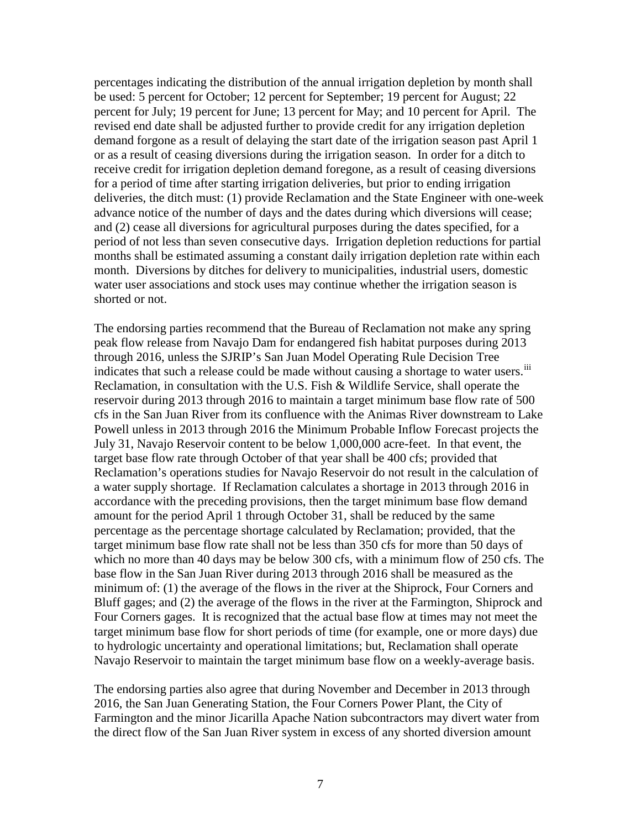percentages indicating the distribution of the annual irrigation depletion by month shall be used: 5 percent for October; 12 percent for September; 19 percent for August; 22 percent for July; 19 percent for June; 13 percent for May; and 10 percent for April. The revised end date shall be adjusted further to provide credit for any irrigation depletion demand forgone as a result of delaying the start date of the irrigation season past April 1 or as a result of ceasing diversions during the irrigation season. In order for a ditch to receive credit for irrigation depletion demand foregone, as a result of ceasing diversions for a period of time after starting irrigation deliveries, but prior to ending irrigation deliveries, the ditch must: (1) provide Reclamation and the State Engineer with one-week advance notice of the number of days and the dates during which diversions will cease; and (2) cease all diversions for agricultural purposes during the dates specified, for a period of not less than seven consecutive days. Irrigation depletion reductions for partial months shall be estimated assuming a constant daily irrigation depletion rate within each month. Diversions by ditches for delivery to municipalities, industrial users, domestic water user associations and stock uses may continue whether the irrigation season is shorted or not.

The endorsing parties recommend that the Bureau of Reclamation not make any spring peak flow release from Navajo Dam for endangered fish habitat purposes during 2013 through 2016, unless the SJRIP's San Juan Model Operating Rule Decision Tree indicates that such a release could be made without causing a shortage to water users.<sup>[iii](#page-11-2)</sup> Reclamation, in consultation with the U.S. Fish & Wildlife Service, shall operate the reservoir during 2013 through 2016 to maintain a target minimum base flow rate of 500 cfs in the San Juan River from its confluence with the Animas River downstream to Lake Powell unless in 2013 through 2016 the Minimum Probable Inflow Forecast projects the July 31, Navajo Reservoir content to be below 1,000,000 acre-feet. In that event, the target base flow rate through October of that year shall be 400 cfs; provided that Reclamation's operations studies for Navajo Reservoir do not result in the calculation of a water supply shortage. If Reclamation calculates a shortage in 2013 through 2016 in accordance with the preceding provisions, then the target minimum base flow demand amount for the period April 1 through October 31, shall be reduced by the same percentage as the percentage shortage calculated by Reclamation; provided, that the target minimum base flow rate shall not be less than 350 cfs for more than 50 days of which no more than 40 days may be below 300 cfs, with a minimum flow of 250 cfs. The base flow in the San Juan River during 2013 through 2016 shall be measured as the minimum of: (1) the average of the flows in the river at the Shiprock, Four Corners and Bluff gages; and (2) the average of the flows in the river at the Farmington, Shiprock and Four Corners gages. It is recognized that the actual base flow at times may not meet the target minimum base flow for short periods of time (for example, one or more days) due to hydrologic uncertainty and operational limitations; but, Reclamation shall operate Navajo Reservoir to maintain the target minimum base flow on a weekly-average basis.

The endorsing parties also agree that during November and December in 2013 through 2016, the San Juan Generating Station, the Four Corners Power Plant, the City of Farmington and the minor Jicarilla Apache Nation subcontractors may divert water from the direct flow of the San Juan River system in excess of any shorted diversion amount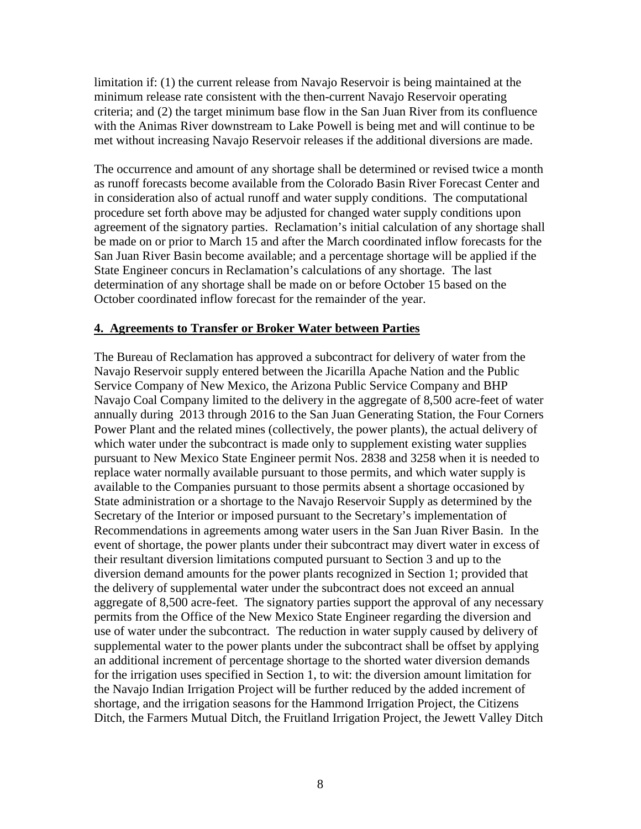limitation if: (1) the current release from Navajo Reservoir is being maintained at the minimum release rate consistent with the then-current Navajo Reservoir operating criteria; and (2) the target minimum base flow in the San Juan River from its confluence with the Animas River downstream to Lake Powell is being met and will continue to be met without increasing Navajo Reservoir releases if the additional diversions are made.

The occurrence and amount of any shortage shall be determined or revised twice a month as runoff forecasts become available from the Colorado Basin River Forecast Center and in consideration also of actual runoff and water supply conditions. The computational procedure set forth above may be adjusted for changed water supply conditions upon agreement of the signatory parties. Reclamation's initial calculation of any shortage shall be made on or prior to March 15 and after the March coordinated inflow forecasts for the San Juan River Basin become available; and a percentage shortage will be applied if the State Engineer concurs in Reclamation's calculations of any shortage. The last determination of any shortage shall be made on or before October 15 based on the October coordinated inflow forecast for the remainder of the year.

#### **4. Agreements to Transfer or Broker Water between Parties**

The Bureau of Reclamation has approved a subcontract for delivery of water from the Navajo Reservoir supply entered between the Jicarilla Apache Nation and the Public Service Company of New Mexico, the Arizona Public Service Company and BHP Navajo Coal Company limited to the delivery in the aggregate of 8,500 acre-feet of water annually during 2013 through 2016 to the San Juan Generating Station, the Four Corners Power Plant and the related mines (collectively, the power plants), the actual delivery of which water under the subcontract is made only to supplement existing water supplies pursuant to New Mexico State Engineer permit Nos. 2838 and 3258 when it is needed to replace water normally available pursuant to those permits, and which water supply is available to the Companies pursuant to those permits absent a shortage occasioned by State administration or a shortage to the Navajo Reservoir Supply as determined by the Secretary of the Interior or imposed pursuant to the Secretary's implementation of Recommendations in agreements among water users in the San Juan River Basin. In the event of shortage, the power plants under their subcontract may divert water in excess of their resultant diversion limitations computed pursuant to Section 3 and up to the diversion demand amounts for the power plants recognized in Section 1; provided that the delivery of supplemental water under the subcontract does not exceed an annual aggregate of 8,500 acre-feet. The signatory parties support the approval of any necessary permits from the Office of the New Mexico State Engineer regarding the diversion and use of water under the subcontract. The reduction in water supply caused by delivery of supplemental water to the power plants under the subcontract shall be offset by applying an additional increment of percentage shortage to the shorted water diversion demands for the irrigation uses specified in Section 1, to wit: the diversion amount limitation for the Navajo Indian Irrigation Project will be further reduced by the added increment of shortage, and the irrigation seasons for the Hammond Irrigation Project, the Citizens Ditch, the Farmers Mutual Ditch, the Fruitland Irrigation Project, the Jewett Valley Ditch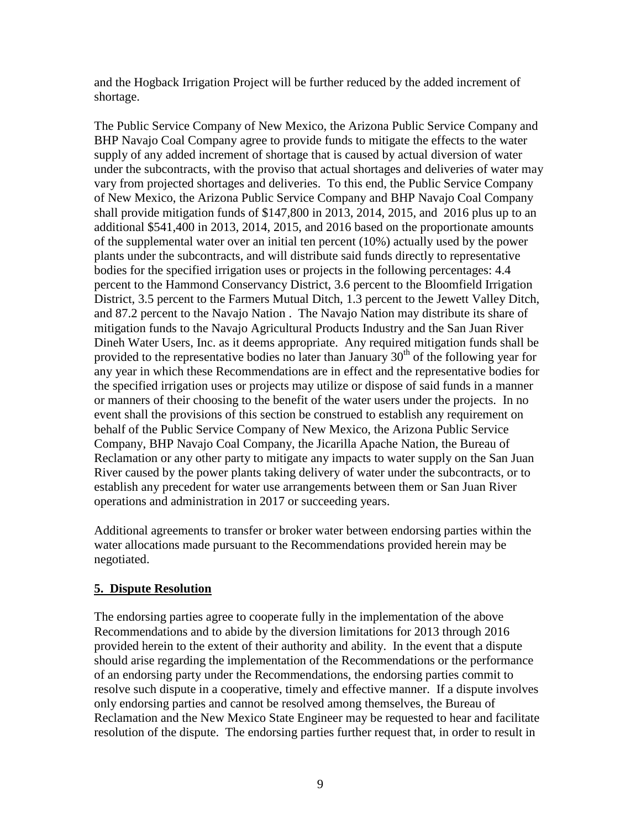and the Hogback Irrigation Project will be further reduced by the added increment of shortage.

The Public Service Company of New Mexico, the Arizona Public Service Company and BHP Navajo Coal Company agree to provide funds to mitigate the effects to the water supply of any added increment of shortage that is caused by actual diversion of water under the subcontracts, with the proviso that actual shortages and deliveries of water may vary from projected shortages and deliveries. To this end, the Public Service Company of New Mexico, the Arizona Public Service Company and BHP Navajo Coal Company shall provide mitigation funds of \$147,800 in 2013, 2014, 2015, and 2016 plus up to an additional \$541,400 in 2013, 2014, 2015, and 2016 based on the proportionate amounts of the supplemental water over an initial ten percent (10%) actually used by the power plants under the subcontracts, and will distribute said funds directly to representative bodies for the specified irrigation uses or projects in the following percentages: 4.4 percent to the Hammond Conservancy District, 3.6 percent to the Bloomfield Irrigation District, 3.5 percent to the Farmers Mutual Ditch, 1.3 percent to the Jewett Valley Ditch, and 87.2 percent to the Navajo Nation . The Navajo Nation may distribute its share of mitigation funds to the Navajo Agricultural Products Industry and the San Juan River Dineh Water Users, Inc. as it deems appropriate. Any required mitigation funds shall be provided to the representative bodies no later than January  $30<sup>th</sup>$  of the following year for any year in which these Recommendations are in effect and the representative bodies for the specified irrigation uses or projects may utilize or dispose of said funds in a manner or manners of their choosing to the benefit of the water users under the projects. In no event shall the provisions of this section be construed to establish any requirement on behalf of the Public Service Company of New Mexico, the Arizona Public Service Company, BHP Navajo Coal Company, the Jicarilla Apache Nation, the Bureau of Reclamation or any other party to mitigate any impacts to water supply on the San Juan River caused by the power plants taking delivery of water under the subcontracts, or to establish any precedent for water use arrangements between them or San Juan River operations and administration in 2017 or succeeding years.

Additional agreements to transfer or broker water between endorsing parties within the water allocations made pursuant to the Recommendations provided herein may be negotiated.

## **5. Dispute Resolution**

The endorsing parties agree to cooperate fully in the implementation of the above Recommendations and to abide by the diversion limitations for 2013 through 2016 provided herein to the extent of their authority and ability. In the event that a dispute should arise regarding the implementation of the Recommendations or the performance of an endorsing party under the Recommendations, the endorsing parties commit to resolve such dispute in a cooperative, timely and effective manner. If a dispute involves only endorsing parties and cannot be resolved among themselves, the Bureau of Reclamation and the New Mexico State Engineer may be requested to hear and facilitate resolution of the dispute. The endorsing parties further request that, in order to result in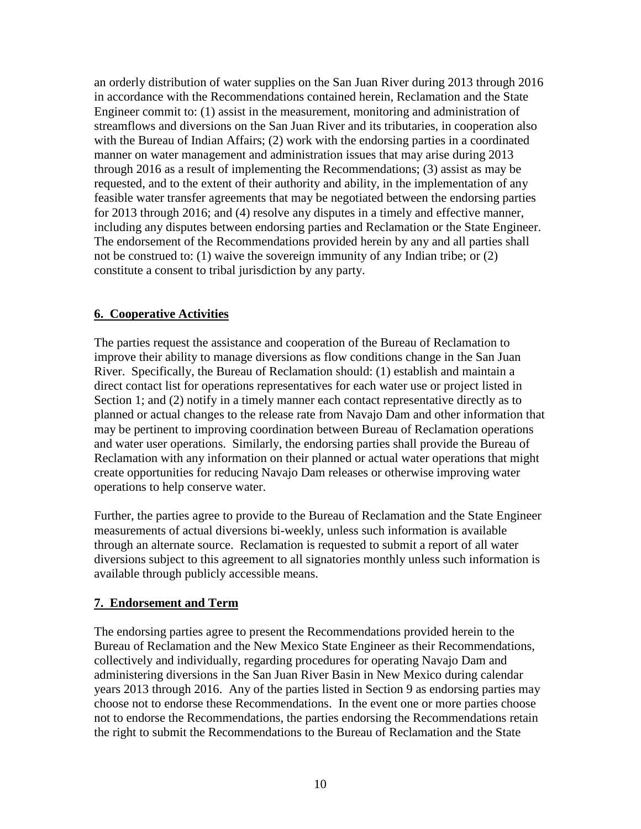an orderly distribution of water supplies on the San Juan River during 2013 through 2016 in accordance with the Recommendations contained herein, Reclamation and the State Engineer commit to: (1) assist in the measurement, monitoring and administration of streamflows and diversions on the San Juan River and its tributaries, in cooperation also with the Bureau of Indian Affairs; (2) work with the endorsing parties in a coordinated manner on water management and administration issues that may arise during 2013 through 2016 as a result of implementing the Recommendations; (3) assist as may be requested, and to the extent of their authority and ability, in the implementation of any feasible water transfer agreements that may be negotiated between the endorsing parties for 2013 through 2016; and (4) resolve any disputes in a timely and effective manner, including any disputes between endorsing parties and Reclamation or the State Engineer. The endorsement of the Recommendations provided herein by any and all parties shall not be construed to: (1) waive the sovereign immunity of any Indian tribe; or (2) constitute a consent to tribal jurisdiction by any party.

# **6. Cooperative Activities**

The parties request the assistance and cooperation of the Bureau of Reclamation to improve their ability to manage diversions as flow conditions change in the San Juan River. Specifically, the Bureau of Reclamation should: (1) establish and maintain a direct contact list for operations representatives for each water use or project listed in Section 1; and (2) notify in a timely manner each contact representative directly as to planned or actual changes to the release rate from Navajo Dam and other information that may be pertinent to improving coordination between Bureau of Reclamation operations and water user operations. Similarly, the endorsing parties shall provide the Bureau of Reclamation with any information on their planned or actual water operations that might create opportunities for reducing Navajo Dam releases or otherwise improving water operations to help conserve water.

Further, the parties agree to provide to the Bureau of Reclamation and the State Engineer measurements of actual diversions bi-weekly, unless such information is available through an alternate source. Reclamation is requested to submit a report of all water diversions subject to this agreement to all signatories monthly unless such information is available through publicly accessible means.

## **7. Endorsement and Term**

The endorsing parties agree to present the Recommendations provided herein to the Bureau of Reclamation and the New Mexico State Engineer as their Recommendations, collectively and individually, regarding procedures for operating Navajo Dam and administering diversions in the San Juan River Basin in New Mexico during calendar years 2013 through 2016. Any of the parties listed in Section 9 as endorsing parties may choose not to endorse these Recommendations. In the event one or more parties choose not to endorse the Recommendations, the parties endorsing the Recommendations retain the right to submit the Recommendations to the Bureau of Reclamation and the State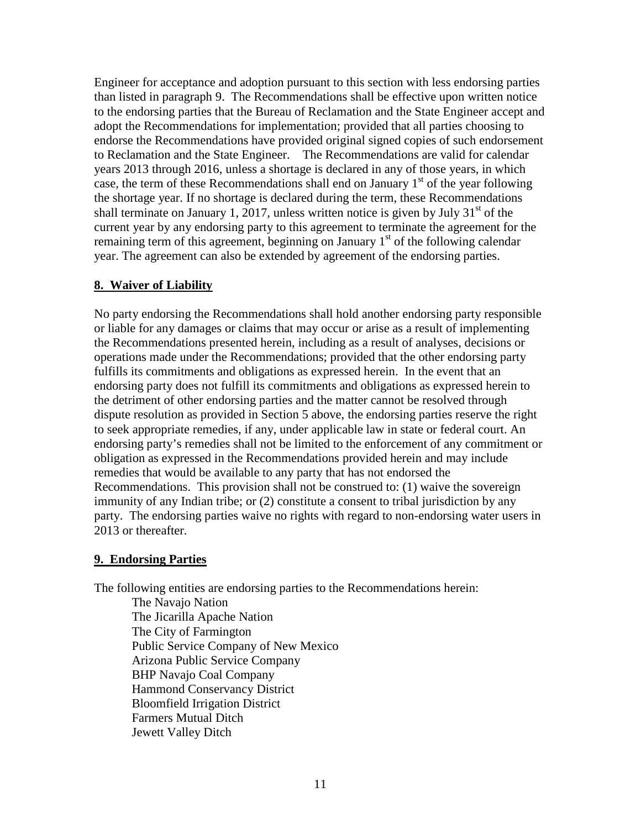Engineer for acceptance and adoption pursuant to this section with less endorsing parties than listed in paragraph 9. The Recommendations shall be effective upon written notice to the endorsing parties that the Bureau of Reclamation and the State Engineer accept and adopt the Recommendations for implementation; provided that all parties choosing to endorse the Recommendations have provided original signed copies of such endorsement to Reclamation and the State Engineer. The Recommendations are valid for calendar years 2013 through 2016, unless a shortage is declared in any of those years, in which case, the term of these Recommendations shall end on January  $1<sup>st</sup>$  of the year following the shortage year. If no shortage is declared during the term, these Recommendations shall terminate on January 1, 2017, unless written notice is given by July  $31<sup>st</sup>$  of the current year by any endorsing party to this agreement to terminate the agreement for the remaining term of this agreement, beginning on January  $1<sup>st</sup>$  of the following calendar year. The agreement can also be extended by agreement of the endorsing parties.

## **8. Waiver of Liability**

No party endorsing the Recommendations shall hold another endorsing party responsible or liable for any damages or claims that may occur or arise as a result of implementing the Recommendations presented herein, including as a result of analyses, decisions or operations made under the Recommendations; provided that the other endorsing party fulfills its commitments and obligations as expressed herein. In the event that an endorsing party does not fulfill its commitments and obligations as expressed herein to the detriment of other endorsing parties and the matter cannot be resolved through dispute resolution as provided in Section 5 above, the endorsing parties reserve the right to seek appropriate remedies, if any, under applicable law in state or federal court. An endorsing party's remedies shall not be limited to the enforcement of any commitment or obligation as expressed in the Recommendations provided herein and may include remedies that would be available to any party that has not endorsed the Recommendations. This provision shall not be construed to: (1) waive the sovereign immunity of any Indian tribe; or (2) constitute a consent to tribal jurisdiction by any party. The endorsing parties waive no rights with regard to non-endorsing water users in 2013 or thereafter.

#### **9. Endorsing Parties**

The following entities are endorsing parties to the Recommendations herein:

The Navajo Nation The Jicarilla Apache Nation The City of Farmington Public Service Company of New Mexico Arizona Public Service Company BHP Navajo Coal Company Hammond Conservancy District Bloomfield Irrigation District Farmers Mutual Ditch Jewett Valley Ditch